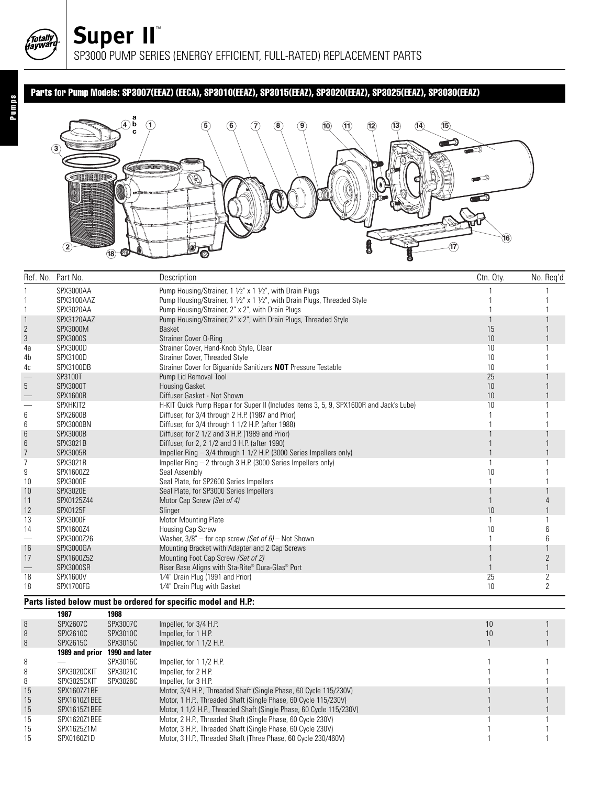## Parts for Pump Models: SP3007(EEAZ) (EECA), SP3010(EEAZ), SP3015(EEAZ), SP3020(EEAZ), SP3025(EEAZ), SP3030(EEAZ)



|                          | Ref. No. Part No.                                              | Description                                                                             | Ctn. Qty. | No. Req'd      |  |  |  |
|--------------------------|----------------------------------------------------------------|-----------------------------------------------------------------------------------------|-----------|----------------|--|--|--|
|                          | SPX3000AA                                                      | Pump Housing/Strainer, 1 1/2" x 1 1/2", with Drain Plugs                                |           |                |  |  |  |
|                          | SPX3100AAZ                                                     | Pump Housing/Strainer, 1 1/2" x 1 1/2", with Drain Plugs, Threaded Style                |           |                |  |  |  |
|                          | SPX3020AA                                                      | Pump Housing/Strainer, 2" x 2", with Drain Plugs                                        |           |                |  |  |  |
|                          | SPX3120AAZ                                                     | Pump Housing/Strainer, 2" x 2", with Drain Plugs, Threaded Style                        |           |                |  |  |  |
| 2                        | SPX3000M                                                       | Basket                                                                                  | 15        |                |  |  |  |
| 3                        | <b>SPX3000S</b>                                                | Strainer Cover O-Ring                                                                   | 10        |                |  |  |  |
| 4a                       | SPX3000D                                                       | Strainer Cover, Hand-Knob Style, Clear                                                  | 10        |                |  |  |  |
| 4b                       | SPX3100D                                                       | Strainer Cover, Threaded Style                                                          | 10        |                |  |  |  |
| 4c                       | SPX3100DB                                                      | Strainer Cover for Biguanide Sanitizers NOT Pressure Testable                           | 10        |                |  |  |  |
| $\overline{\phantom{0}}$ | SP3100T                                                        | Pump Lid Removal Tool                                                                   | 25        |                |  |  |  |
| 5                        | <b>SPX3000T</b>                                                | <b>Housing Gasket</b>                                                                   | 10        |                |  |  |  |
| $\overline{\phantom{0}}$ | <b>SPX1600R</b>                                                | Diffuser Gasket - Not Shown                                                             | 10        |                |  |  |  |
| $\qquad \qquad -$        | SPXHKIT2                                                       | H-KIT Quick Pump Repair for Super II (Includes items 3, 5, 9, SPX1600R and Jack's Lube) | 10        |                |  |  |  |
| 6                        | <b>SPX2600B</b>                                                | Diffuser, for 3/4 through 2 H.P. (1987 and Prior)                                       |           |                |  |  |  |
| 6                        | SPX3000BN                                                      | Diffuser, for 3/4 through 1 1/2 H.P. (after 1988)                                       |           |                |  |  |  |
| 6                        | <b>SPX3000B</b>                                                | Diffuser, for 2 1/2 and 3 H.P. (1989 and Prior)                                         |           |                |  |  |  |
| 6                        | SPX3021B                                                       | Diffuser, for 2, 2 1/2 and 3 H.P. (after 1990)                                          |           |                |  |  |  |
| $\overline{7}$           | <b>SPX3005R</b>                                                | Impeller Ring - 3/4 through 1 1/2 H.P. (3000 Series Impellers only)                     |           |                |  |  |  |
| $\overline{7}$           | SPX3021R                                                       | Impeller Ring - 2 through 3 H.P. (3000 Series Impellers only)                           |           |                |  |  |  |
| 9                        | SPX1600Z2                                                      | Seal Assembly                                                                           | 10        |                |  |  |  |
| 10                       | <b>SPX3000E</b>                                                | Seal Plate, for SP2600 Series Impellers                                                 |           |                |  |  |  |
| 10                       | <b>SPX3020E</b>                                                | Seal Plate, for SP3000 Series Impellers                                                 |           |                |  |  |  |
| 11                       | SPX0125Z44                                                     | Motor Cap Screw (Set of 4)                                                              |           |                |  |  |  |
| 12                       | <b>SPX0125F</b>                                                | Slinger                                                                                 | 10        |                |  |  |  |
| 13                       | <b>SPX3000F</b>                                                | Motor Mounting Plate                                                                    |           |                |  |  |  |
| 14                       | SPX1600Z4                                                      | Housing Cap Screw                                                                       | 10        |                |  |  |  |
| -                        | SPX3000Z26                                                     | Washer, $3/8"$ – for cap screw (Set of 6) – Not Shown                                   |           | 6              |  |  |  |
| 16                       | SPX3000GA                                                      | Mounting Bracket with Adapter and 2 Cap Screws                                          |           |                |  |  |  |
| 17                       | SPX1600Z52                                                     | Mounting Foot Cap Screw (Set of 2)                                                      |           | $\overline{2}$ |  |  |  |
|                          | SPX3000SR                                                      | Riser Base Aligns with Sta-Rite® Dura-Glas® Port                                        |           | $\mathbf{1}$   |  |  |  |
| 18                       | SPX1600V                                                       | 1/4" Drain Plug (1991 and Prior)                                                        | 25        | 2              |  |  |  |
| 18                       | SPX1700FG                                                      | 1/4" Drain Plug with Gasket                                                             | 10        | $\overline{2}$ |  |  |  |
|                          | Parts listed below must be ordered for specific model and H.P: |                                                                                         |           |                |  |  |  |

**1987 1988**

|    | 1307            | 1300           |                                                                     |    |  |
|----|-----------------|----------------|---------------------------------------------------------------------|----|--|
| 8  | <b>SPX2607C</b> | SPX3007C       | Impeller, for 3/4 H.P.                                              | 10 |  |
| 8  | SPX2610C        | SPX3010C       | Impeller, for 1 H.P.                                                | 10 |  |
| 8  | SPX2615C        | SPX3015C       | Impeller, for 1 1/2 H.P.                                            |    |  |
|    | 1989 and prior  | 1990 and later |                                                                     |    |  |
| 8  |                 | SPX3016C       | Impeller, for 1 1/2 H.P.                                            |    |  |
| 8  | SPX3020CKIT     | SPX3021C       | Impeller, for 2 H.P.                                                |    |  |
| 8  | SPX3025CKIT     | SPX3026C       | Impeller, for 3 H.P.                                                |    |  |
| 15 | SPX1607Z1BE     |                | Motor, 3/4 H.P., Threaded Shaft (Single Phase, 60 Cycle 115/230V)   |    |  |
| 15 | SPX1610Z1BEE    |                | Motor, 1 H.P., Threaded Shaft (Single Phase, 60 Cycle 115/230V)     |    |  |
| 15 | SPX1615Z1BEE    |                | Motor, 1 1/2 H.P., Threaded Shaft (Single Phase, 60 Cycle 115/230V) |    |  |
| 15 | SPX1620Z1BEE    |                | Motor, 2 H.P., Threaded Shaft (Single Phase, 60 Cycle 230V)         |    |  |
| 15 | SPX1625Z1M      |                | Motor, 3 H.P., Threaded Shaft (Single Phase, 60 Cycle 230V)         |    |  |
| 15 | SPX0160Z1D      |                | Motor, 3 H.P., Threaded Shaft (Three Phase, 60 Cycle 230/460V)      |    |  |

Totally